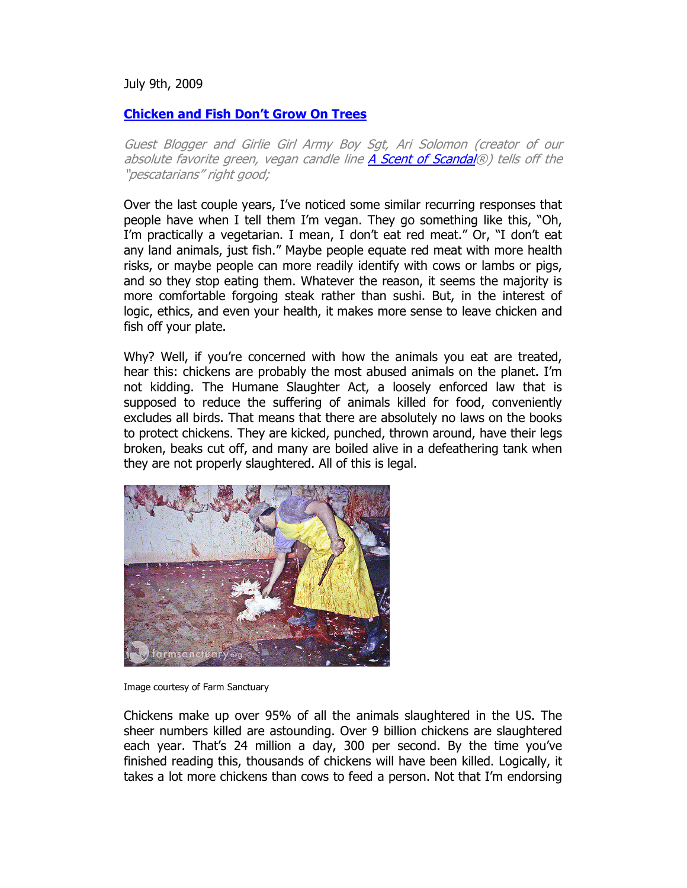July 9th, 2009

## **Chicken and Fish Don't Grow On Trees**

Guest Blogger and Girlie Girl Army Boy Sgt, Ari Solomon (creator of our absolute favorite green, vegan candle line A Scent of Scandal®) tells off the "pescatarians" right good;

Over the last couple years, I've noticed some similar recurring responses that people have when I tell them I'm vegan. They go something like this, "Oh, I'm practically a vegetarian. I mean, I don't eat red meat." Or, "I don't eat any land animals, just fish." Maybe people equate red meat with more health risks, or maybe people can more readily identify with cows or lambs or pigs, and so they stop eating them. Whatever the reason, it seems the majority is more comfortable forgoing steak rather than sushi. But, in the interest of logic, ethics, and even your health, it makes more sense to leave chicken and fish off your plate.

Why? Well, if you're concerned with how the animals you eat are treated, hear this: chickens are probably the most abused animals on the planet. I'm not kidding. The Humane Slaughter Act, a loosely enforced law that is supposed to reduce the suffering of animals killed for food, conveniently excludes all birds. That means that there are absolutely no laws on the books to protect chickens. They are kicked, punched, thrown around, have their legs broken, beaks cut off, and many are boiled alive in a defeathering tank when they are not properly slaughtered. All of this is legal.



Image courtesy of Farm Sanctuary

Chickens make up over 95% of all the animals slaughtered in the US. The sheer numbers killed are astounding. Over 9 billion chickens are slaughtered each year. That's 24 million a day, 300 per second. By the time you've finished reading this, thousands of chickens will have been killed. Logically, it takes a lot more chickens than cows to feed a person. Not that I'm endorsing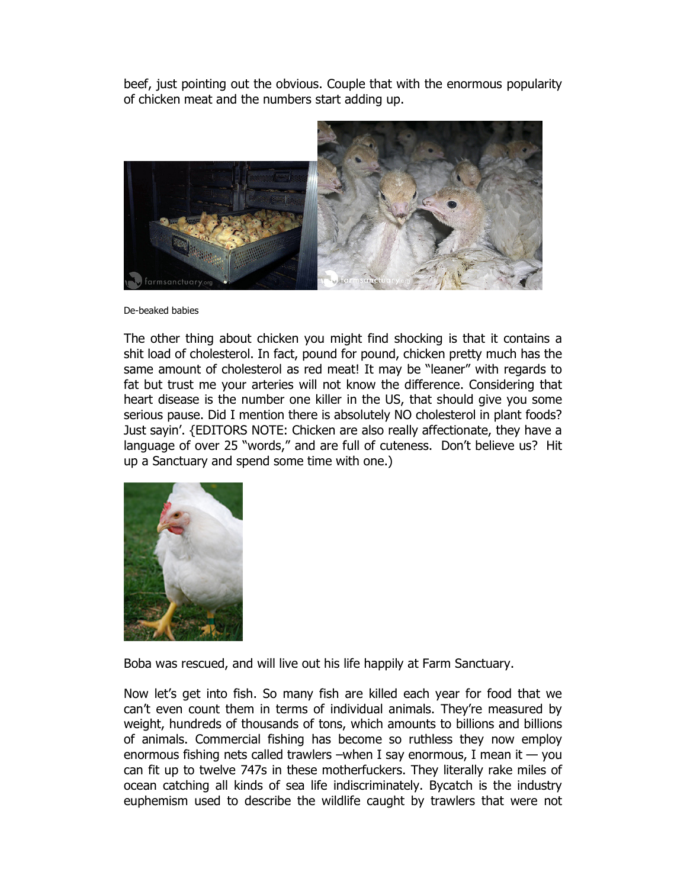beef, just pointing out the obvious. Couple that with the enormous popularity of chicken meat and the numbers start adding up.



De-beaked babies

The other thing about chicken you might find shocking is that it contains a shit load of cholesterol. In fact, pound for pound, chicken pretty much has the same amount of cholesterol as red meat! It may be "leaner" with regards to fat but trust me your arteries will not know the difference. Considering that heart disease is the number one killer in the US, that should give you some serious pause. Did I mention there is absolutely NO cholesterol in plant foods? Just sayin'. {EDITORS NOTE: Chicken are also really affectionate, they have a language of over 25 "words," and are full of cuteness. Don't believe us? Hit up a Sanctuary and spend some time with one.)



Boba was rescued, and will live out his life happily at Farm Sanctuary.

Now let's get into fish. So many fish are killed each year for food that we can't even count them in terms of individual animals. They're measured by weight, hundreds of thousands of tons, which amounts to billions and billions of animals. Commercial fishing has become so ruthless they now employ enormous fishing nets called trawlers –when I say enormous, I mean it  $-$  you can fit up to twelve 747s in these motherfuckers. They literally rake miles of ocean catching all kinds of sea life indiscriminately. Bycatch is the industry euphemism used to describe the wildlife caught by trawlers that were not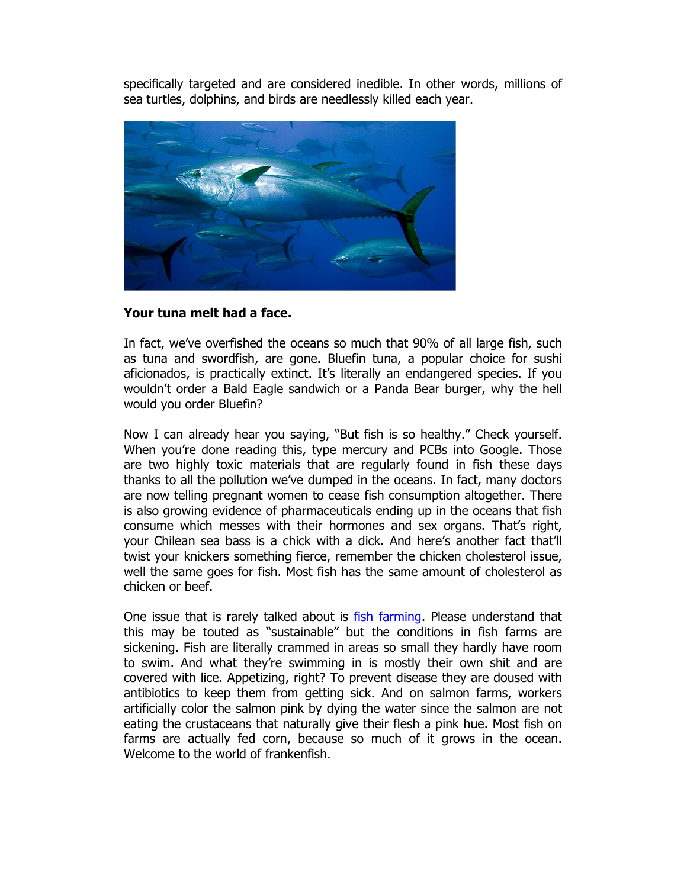specifically targeted and are considered inedible. In other words, millions of sea turtles, dolphins, and birds are needlessly killed each year.



## **Your tuna melt had a face.**

In fact, we've overfished the oceans so much that 90% of all large fish, such as tuna and swordfish, are gone. Bluefin tuna, a popular choice for sushi aficionados, is practically extinct. It's literally an endangered species. If you wouldn't order a Bald Eagle sandwich or a Panda Bear burger, why the hell would you order Bluefin?

Now I can already hear you saying, "But fish is so healthy." Check yourself. When you're done reading this, type mercury and PCBs into Google. Those are two highly toxic materials that are regularly found in fish these days thanks to all the pollution we've dumped in the oceans. In fact, many doctors are now telling pregnant women to cease fish consumption altogether. There is also growing evidence of pharmaceuticals ending up in the oceans that fish consume which messes with their hormones and sex organs. That's right, your Chilean sea bass is a chick with a dick. And here's another fact that'll twist your knickers something fierce, remember the chicken cholesterol issue, well the same goes for fish. Most fish has the same amount of cholesterol as chicken or beef.

One issue that is rarely talked about is fish farming. Please understand that this may be touted as "sustainable" but the conditions in fish farms are sickening. Fish are literally crammed in areas so small they hardly have room to swim. And what they're swimming in is mostly their own shit and are covered with lice. Appetizing, right? To prevent disease they are doused with antibiotics to keep them from getting sick. And on salmon farms, workers artificially color the salmon pink by dying the water since the salmon are not eating the crustaceans that naturally give their flesh a pink hue. Most fish on farms are actually fed corn, because so much of it grows in the ocean. Welcome to the world of frankenfish.